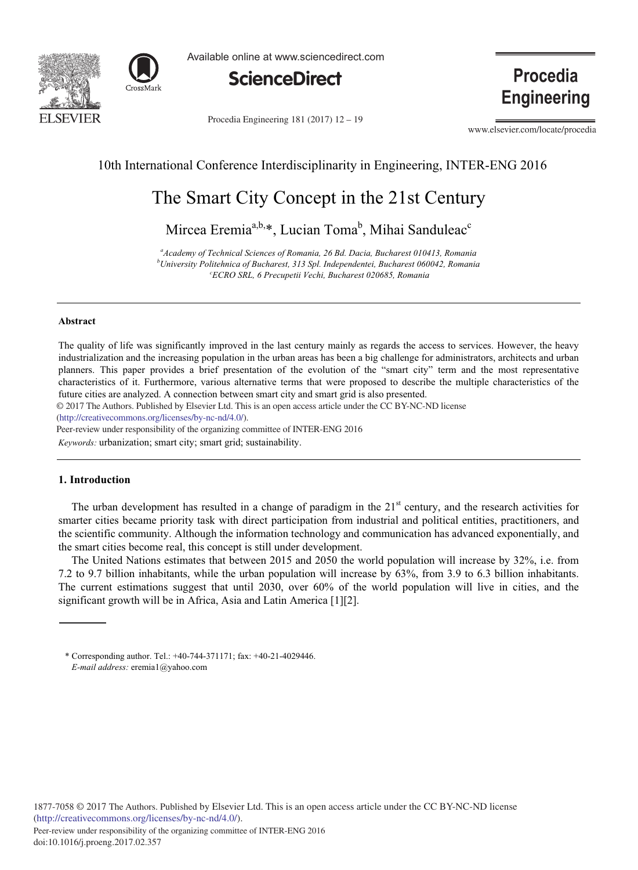



Available online at www.sciencedirect.com



Procedia Engineering 181 (2017) 12 - 19

**Procedia Engineering** 

www.elsevier.com/locate/procedia

# 10th International Conference Interdisciplinarity in Engineering, INTER-ENG 2016

# The Smart City Concept in the 21st Century

Mircea Eremia<sup>a,b,\*</sup>, Lucian Toma<sup>b</sup>, Mihai Sanduleac<sup>c</sup>

*a Academy of Technical Sciences of Romania, 26 Bd. Dacia, Bucharest 010413, Romania b University Politehnica of Bucharest, 313 Spl. Independentei, Bucharest 060042, Romania c ECRO SRL, 6 Precupetii Vechi, Bucharest 020685, Romania* 

#### **A** hstract

The quality of life was significantly improved in the last century mainly as regards the access to services. However, the heavy industrialization and the increasing population in the urban areas has been a big challenge for administrators, architects and urban planners. This paper provides a brief presentation of the evolution of the "smart city" term and the most representative characteristics of it. Furthermore, various alternative terms that were proposed to describe the multiple characteristics of the future cities are analyzed. A connection between smart city and smart grid is also presented.

© 2017 The Authors. Published by Elsevier Ltd. This is an open access article under the CC BY-NC-ND license

(http://creativecommons.org/licenses/by-nc-nd/4.0/).

Peer-review under responsibility of the organizing committee of INTER-ENG 2016

Keywords: urbanization; smart city; smart grid; sustainability.

# **1.** Introduction

The urban development has resulted in a change of paradigm in the  $21<sup>st</sup>$  century, and the research activities for smarter cities became priority task with direct participation from industrial and political entities, practitioners, and the scientific community. Although the information technology and communication has advanced exponentially, and the smart cities become real, this concept is still under development.

The United Nations estimates that between 2015 and 2050 the world population will increase by 32%, i.e. from 7.2 to 9.7 billion inhabitants, while the urban population will increase by 63%, from 3.9 to 6.3 billion inhabitants. The current estimations suggest that until 2030, over 60% of the world population will live in cities, and the significant growth will be in Africa, Asia and Latin America [1][2].

<sup>\*</sup> Corresponding author. Tel.:  $+40-744-371171$ ; fax:  $+40-21-4029446$ . *E-mail address:* eremia1@yahoo.com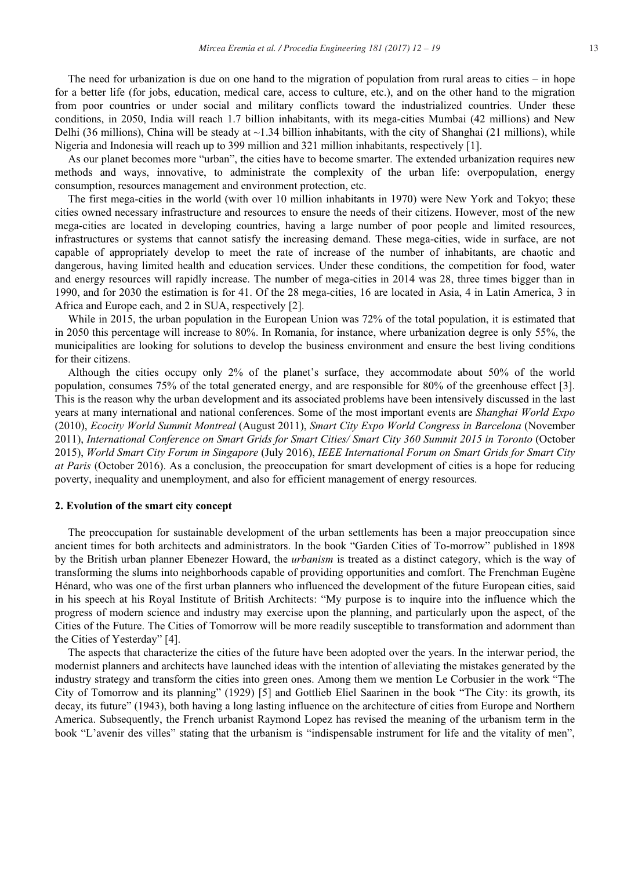The need for urbanization is due on one hand to the migration of population from rural areas to cities  $-$  in hope for a better life (for jobs, education, medical care, access to culture, etc.), and on the other hand to the migration from poor countries or under social and military conflicts toward the industrialized countries. Under these conditions, in 2050, India will reach 1.7 billion inhabitants, with its mega-cities Mumbai (42 millions) and New Delhi (36 millions), China will be steady at  $\sim$ 1.34 billion inhabitants, with the city of Shanghai (21 millions), while Nigeria and Indonesia will reach up to 399 million and 321 million inhabitants, respectively [1].

As our planet becomes more "urban", the cities have to become smarter. The extended urbanization requires new methods and ways, innovative, to administrate the complexity of the urban life: overpopulation, energy consumption, resources management and environment protection, etc.

The first mega-cities in the world (with over 10 million inhabitants in 1970) were New York and Tokyo; these cities owned necessary infrastructure and resources to ensure the needs of their citizens. However, most of the new mega-cities are located in developing countries, having a large number of poor people and limited resources. infrastructures or systems that cannot satisfy the increasing demand. These mega-cities, wide in surface, are not capable of appropriately develop to meet the rate of increase of the number of inhabitants, are chaotic and dangerous, having limited health and education services. Under these conditions, the competition for food, water and energy resources will rapidly increase. The number of mega-cities in 2014 was 28, three times bigger than in 1990, and for 2030 the estimation is for 41. Of the 28 mega-cities, 16 are located in Asia, 4 in Latin America, 3 in Africa and Europe each, and 2 in SUA, respectively [2].

While in 2015, the urban population in the European Union was 72% of the total population, it is estimated that in 2050 this percentage will increase to 80%. In Romania, for instance, where urbanization degree is only 55%, the municipalities are looking for solutions to develop the business environment and ensure the best living conditions for their citizens.

Although the cities occupy only 2% of the planet's surface, they accommodate about 50% of the world population, consumes 75% of the total generated energy, and are responsible for 80% of the greenhouse effect [3]. This is the reason why the urban development and its associated problems have been intensively discussed in the last years at many international and national conferences. Some of the most important events are Shanghai World Expo (2010), Ecocity World Summit Montreal (August 2011), Smart City Expo World Congress in Barcelona (November 2011), International Conference on Smart Grids for Smart Cities/ Smart City 360 Summit 2015 in Toronto (October 2015), World Smart City Forum in Singapore (July 2016), IEEE International Forum on Smart Grids for Smart City at Paris (October 2016). As a conclusion, the preoccupation for smart development of cities is a hope for reducing poverty, inequality and unemployment, and also for efficient management of energy resources.

#### 2. Evolution of the smart city concept

The preoccupation for sustainable development of the urban settlements has been a major preoccupation since ancient times for both architects and administrators. In the book "Garden Cities of To-morrow" published in 1898 by the British urban planner Ebenezer Howard, the *urbanism* is treated as a distinct category, which is the way of transforming the slums into neighborhoods capable of providing opportunities and comfort. The Frenchman Eugène Hénard, who was one of the first urban planners who influenced the development of the future European cities, said in his speech at his Royal Institute of British Architects: "My purpose is to inquire into the influence which the progress of modern science and industry may exercise upon the planning, and particularly upon the aspect, of the Cities of the Future. The Cities of Tomorrow will be more readily susceptible to transformation and adornment than the Cities of Yesterday" [4].

The aspects that characterize the cities of the future have been adopted over the years. In the interwar period, the modernist planners and architects have launched ideas with the intention of alleviating the mistakes generated by the industry strategy and transform the cities into green ones. Among them we mention Le Corbusier in the work "The City of Tomorrow and its planning" (1929) [5] and Gottlieb Eliel Saarinen in the book "The City: its growth, its decay, its future" (1943), both having a long lasting influence on the architecture of cities from Europe and Northern America. Subsequently, the French urbanist Raymond Lopez has revised the meaning of the urbanism term in the book "L'avenir des villes" stating that the urbanism is "indispensable instrument for life and the vitality of men",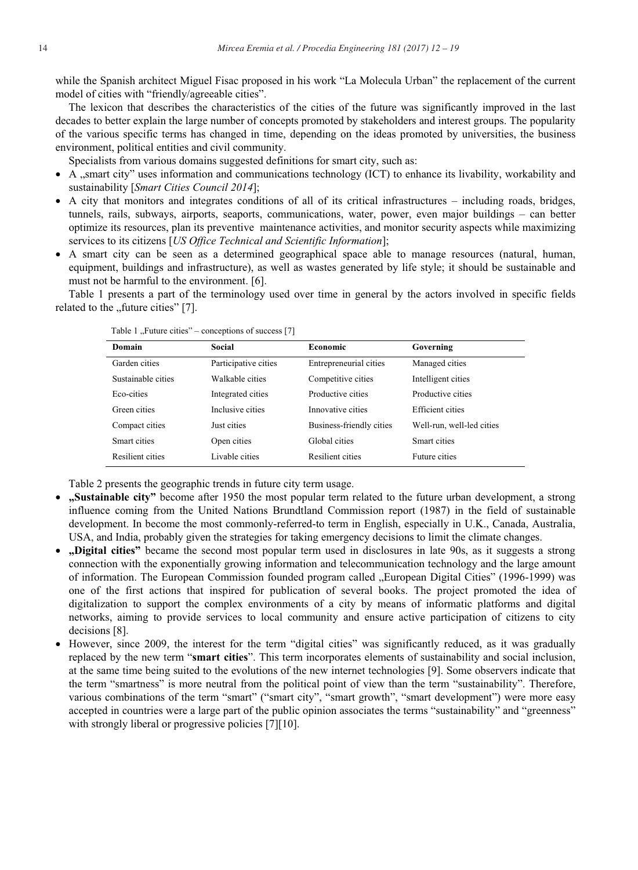while the Spanish architect Miguel Fisac proposed in his work "La Molecula Urban" the replacement of the current model of cities with "friendly/agreeable cities".

The lexicon that describes the characteristics of the cities of the future was significantly improved in the last decades to better explain the large number of concepts promoted by stakeholders and interest groups. The popularity of the various specific terms has changed in time, depending on the ideas promoted by universities, the business environment, political entities and civil community.

Specialists from various domains suggested definitions for smart city, such as:

- A "smart city" uses information and communications technology (ICT) to enhance its livability, workability and  $\bullet$ sustainability [Smart Cities Council 2014];
- A city that monitors and integrates conditions of all of its critical infrastructures including roads, bridges, tunnels, rails, subways, airports, seaports, communications, water, power, even major buildings – can better optimize its resources, plan its preventive maintenance activities, and monitor security aspects while maximizing services to its citizens [US Office Technical and Scientific Information];
- A smart city can be seen as a determined geographical space able to manage resources (natural, human, equipment, buildings and infrastructure), as well as wastes generated by life style; it should be sustainable and must not be harmful to the environment. [6].

Table 1 presents a part of the terminology used over time in general by the actors involved in specific fields related to the "future cities" [7].

| Domain             | Social               | Economic                 | Governing                 |
|--------------------|----------------------|--------------------------|---------------------------|
| Garden cities      | Participative cities | Entrepreneurial cities   | Managed cities            |
| Sustainable cities | Walkable cities      | Competitive cities       | Intelligent cities        |
| Eco-cities         | Integrated cities    | Productive cities        | Productive cities         |
| Green cities       | Inclusive cities     | Innovative cities        | Efficient cities          |
| Compact cities     | Just cities          | Business-friendly cities | Well-run, well-led cities |
| Smart cities       | Open cities          | Global cities            | Smart cities              |
| Resilient cities   | Livable cities       | Resilient cities         | Future cities             |

Table 1 "Future cities" – conceptions of success [7]

Table 2 presents the geographic trends in future city term usage.

- "Sustainable city" become after 1950 the most popular term related to the future urban development, a strong influence coming from the United Nations Brundtland Commission report (1987) in the field of sustainable development. In become the most commonly-referred-to term in English, especially in U.K., Canada, Australia, USA, and India, probably given the strategies for taking emergency decisions to limit the climate changes.
- "Digital cities" became the second most popular term used in disclosures in late 90s, as it suggests a strong  $\bullet$ connection with the exponentially growing information and telecommunication technology and the large amount of information. The European Commission founded program called "European Digital Cities" (1996-1999) was one of the first actions that inspired for publication of several books. The project promoted the idea of digitalization to support the complex environments of a city by means of informatic platforms and digital networks, aiming to provide services to local community and ensure active participation of citizens to city decisions [8].
- However, since 2009, the interest for the term "digital cities" was significantly reduced, as it was gradually  $\bullet$ replaced by the new term "smart cities". This term incorporates elements of sustainability and social inclusion, at the same time being suited to the evolutions of the new internet technologies [9]. Some observers indicate that the term "smartness" is more neutral from the political point of view than the term "sustainability". Therefore, various combinations of the term "smart" ("smart city", "smart growth", "smart development") were more easy accepted in countries were a large part of the public opinion associates the terms "sustainability" and "greenness" with strongly liberal or progressive policies [7][10].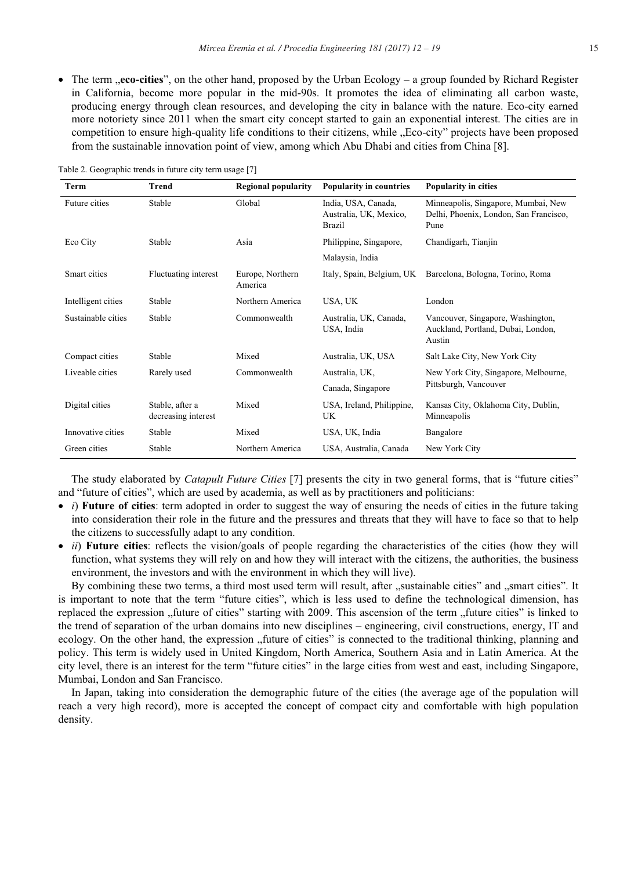• The term **, eco-cities**", on the other hand, proposed by the Urban Ecology – a group founded by Richard Register in California, become more popular in the mid-90s. It promotes the idea of eliminating all carbon waste, producing energy through clean resources, and developing the city in balance with the nature. Eco-city earned more notoriety since 2011 when the smart city concept started to gain an exponential interest. The cities are in competition to ensure high-quality life conditions to their citizens, while "Eco-city" projects have been proposed from the sustainable innovation point of view, among which Abu Dhabi and cities from China [8].

| Term               | <b>Trend</b>                           | <b>Regional popularity</b>  | <b>Popularity in countries</b>                          | Popularity in cities                                                                  |
|--------------------|----------------------------------------|-----------------------------|---------------------------------------------------------|---------------------------------------------------------------------------------------|
| Future cities      | Stable                                 | Global                      | India, USA, Canada,<br>Australia, UK, Mexico,<br>Brazil | Minneapolis, Singapore, Mumbai, New<br>Delhi, Phoenix, London, San Francisco,<br>Pune |
| Eco City           | Stable                                 | Asia                        | Philippine, Singapore,                                  | Chandigarh, Tianjin                                                                   |
|                    |                                        |                             | Malaysia, India                                         |                                                                                       |
| Smart cities       | Fluctuating interest                   | Europe, Northern<br>America | Italy, Spain, Belgium, UK                               | Barcelona, Bologna, Torino, Roma                                                      |
| Intelligent cities | Stable                                 | Northern America            | USA, UK                                                 | London                                                                                |
| Sustainable cities | Stable                                 | Commonwealth                | Australia, UK, Canada,<br>USA, India                    | Vancouver, Singapore, Washington,<br>Auckland, Portland, Dubai, London,<br>Austin     |
| Compact cities     | Stable                                 | Mixed                       | Australia, UK, USA                                      | Salt Lake City, New York City                                                         |
| Liveable cities    | Rarely used                            | Commonwealth                | Australia, UK,                                          | New York City, Singapore, Melbourne,<br>Pittsburgh, Vancouver                         |
|                    |                                        |                             | Canada, Singapore                                       |                                                                                       |
| Digital cities     | Stable, after a<br>decreasing interest | Mixed                       | USA, Ireland, Philippine,<br><b>UK</b>                  | Kansas City, Oklahoma City, Dublin,<br>Minneapolis                                    |
| Innovative cities  | Stable                                 | Mixed                       | USA, UK, India                                          | Bangalore                                                                             |
| Green cities       | Stable                                 | Northern America            | USA, Australia, Canada                                  | New York City                                                                         |

Table 2. Geographic trends in future city term usage [7]

The study elaborated by *Catapult Future Cities* [7] presents the city in two general forms, that is "future cities" and "future of cities", which are used by academia, as well as by practitioners and politicians:

- $\bullet$  *i*) Future of cities: term adopted in order to suggest the way of ensuring the needs of cities in the future taking into consideration their role in the future and the pressures and threats that they will have to face so that to help the citizens to successfully adapt to any condition.
- *ii*) Future cities: reflects the vision/goals of people regarding the characteristics of the cities (how they will function, what systems they will rely on and how they will interact with the citizens, the authorities, the business environment, the investors and with the environment in which they will live).

By combining these two terms, a third most used term will result, after "sustainable cities" and "smart cities". It is important to note that the term "future cities", which is less used to define the technological dimension, has replaced the expression "future of cities" starting with 2009. This ascension of the term "future cities" is linked to the trend of separation of the urban domains into new disciplines – engineering, civil constructions, energy, IT and ecology. On the other hand, the expression "future of cities" is connected to the traditional thinking, planning and policy. This term is widely used in United Kingdom, North America, Southern Asia and in Latin America. At the city level, there is an interest for the term "future cities" in the large cities from west and east, including Singapore, Mumbai, London and San Francisco.

In Japan, taking into consideration the demographic future of the cities (the average age of the population will reach a very high record), more is accepted the concept of compact city and comfortable with high population density.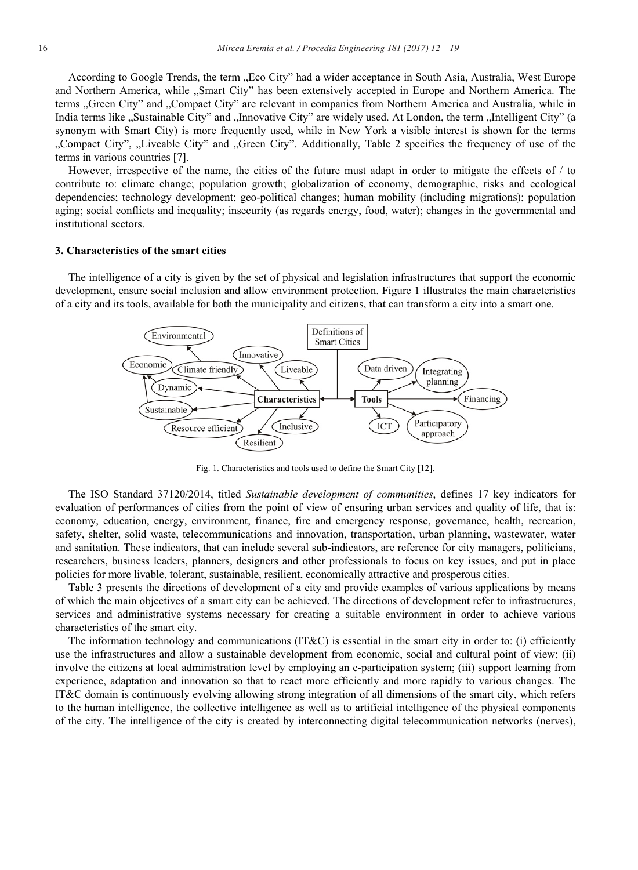According to Google Trends, the term "Eco City" had a wider acceptance in South Asia, Australia, West Europe and Northern America, while "Smart City" has been extensively accepted in Europe and Northern America. The terms "Green City" and "Compact City" are relevant in companies from Northern America and Australia, while in India terms like "Sustainable City" and "Innovative City" are widely used. At London, the term "Intelligent City" (a synonym with Smart City) is more frequently used, while in New York a visible interest is shown for the terms "Compact City", "Liveable City" and "Green City". Additionally, Table 2 specifies the frequency of use of the terms in various countries [7].

However, irrespective of the name, the cities of the future must adapt in order to mitigate the effects of / to contribute to: climate change; population growth; globalization of economy, demographic, risks and ecological dependencies; technology development; geo-political changes; human mobility (including migrations); population aging; social conflicts and inequality; insecurity (as regards energy, food, water); changes in the governmental and institutional sectors.

# 3. Characteristics of the smart cities

The intelligence of a city is given by the set of physical and legislation infrastructures that support the economic development, ensure social inclusion and allow environment protection. Figure 1 illustrates the main characteristics of a city and its tools, available for both the municipality and citizens, that can transform a city into a smart one.



Fig. 1. Characteristics and tools used to define the Smart City [12].

The ISO Standard 37120/2014, titled Sustainable development of communities, defines 17 key indicators for evaluation of performances of cities from the point of view of ensuring urban services and quality of life, that is: economy, education, energy, environment, finance, fire and emergency response, governance, health, recreation, safety, shelter, solid waste, telecommunications and innovation, transportation, urban planning, wastewater, water and sanitation. These indicators, that can include several sub-indicators, are reference for city managers, politicians, researchers, business leaders, planners, designers and other professionals to focus on key issues, and put in place policies for more livable, tolerant, sustainable, resilient, economically attractive and prosperous cities.

Table 3 presents the directions of development of a city and provide examples of various applications by means of which the main objectives of a smart city can be achieved. The directions of development refer to infrastructures, services and administrative systems necessary for creating a suitable environment in order to achieve various characteristics of the smart city.

The information technology and communications  $(T\&C)$  is essential in the smart city in order to: (i) efficiently use the infrastructures and allow a sustainable development from economic, social and cultural point of view; (ii) involve the citizens at local administration level by employing an e-participation system; (iii) support learning from experience, adaptation and innovation so that to react more efficiently and more rapidly to various changes. The IT&C domain is continuously evolving allowing strong integration of all dimensions of the smart city, which refers to the human intelligence, the collective intelligence as well as to artificial intelligence of the physical components of the city. The intelligence of the city is created by interconnecting digital telecommunication networks (nerves),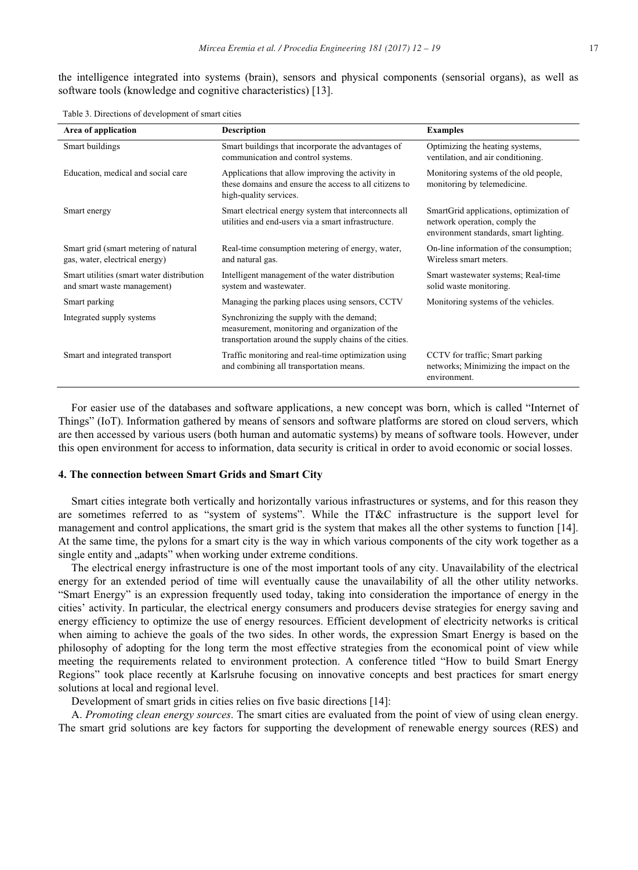the intelligence integrated into systems (brain), sensors and physical components (sensorial organs), as well as software tools (knowledge and cognitive characteristics) [13].

Table 3. Directions of development of smart cities

| Area of application                                                      | <b>Description</b>                                                                                                                                     | <b>Examples</b>                                                                                                    |
|--------------------------------------------------------------------------|--------------------------------------------------------------------------------------------------------------------------------------------------------|--------------------------------------------------------------------------------------------------------------------|
| Smart buildings                                                          | Smart buildings that incorporate the advantages of<br>communication and control systems.                                                               | Optimizing the heating systems,<br>ventilation, and air conditioning.                                              |
| Education, medical and social care                                       | Applications that allow improving the activity in<br>these domains and ensure the access to all citizens to<br>high-quality services.                  | Monitoring systems of the old people,<br>monitoring by telemedicine.                                               |
| Smart energy                                                             | Smart electrical energy system that interconnects all<br>utilities and end-users via a smart infrastructure.                                           | SmartGrid applications, optimization of<br>network operation, comply the<br>environment standards, smart lighting. |
| Smart grid (smart metering of natural<br>gas, water, electrical energy)  | Real-time consumption metering of energy, water,<br>and natural gas.                                                                                   | On-line information of the consumption;<br>Wireless smart meters.                                                  |
| Smart utilities (smart water distribution<br>and smart waste management) | Intelligent management of the water distribution<br>system and wastewater.                                                                             | Smart wastewater systems; Real-time<br>solid waste monitoring.                                                     |
| Smart parking                                                            | Managing the parking places using sensors, CCTV                                                                                                        | Monitoring systems of the vehicles.                                                                                |
| Integrated supply systems                                                | Synchronizing the supply with the demand;<br>measurement, monitoring and organization of the<br>transportation around the supply chains of the cities. |                                                                                                                    |
| Smart and integrated transport                                           | Traffic monitoring and real-time optimization using<br>and combining all transportation means.                                                         | CCTV for traffic; Smart parking<br>networks; Minimizing the impact on the<br>environment.                          |

For easier use of the databases and software applications, a new concept was born, which is called "Internet of Things" (IoT). Information gathered by means of sensors and software platforms are stored on cloud servers, which are then accessed by various users (both human and automatic systems) by means of software tools. However, under this open environment for access to information, data security is critical in order to avoid economic or social losses.

# 4. The connection between Smart Grids and Smart City

Smart cities integrate both vertically and horizontally various infrastructures or systems, and for this reason they are sometimes referred to as "system of systems". While the IT&C infrastructure is the support level for management and control applications, the smart grid is the system that makes all the other systems to function [14]. At the same time, the pylons for a smart city is the way in which various components of the city work together as a single entity and "adapts" when working under extreme conditions.

The electrical energy infrastructure is one of the most important tools of any city. Unavailability of the electrical energy for an extended period of time will eventually cause the unavailability of all the other utility networks. "Smart Energy" is an expression frequently used today, taking into consideration the importance of energy in the cities' activity. In particular, the electrical energy consumers and producers devise strategies for energy saving and energy efficiency to optimize the use of energy resources. Efficient development of electricity networks is critical when aiming to achieve the goals of the two sides. In other words, the expression Smart Energy is based on the philosophy of adopting for the long term the most effective strategies from the economical point of view while meeting the requirements related to environment protection. A conference titled "How to build Smart Energy Regions" took place recently at Karlsruhe focusing on innovative concepts and best practices for smart energy solutions at local and regional level.

Development of smart grids in cities relies on five basic directions [14]:

A. Promoting clean energy sources. The smart cities are evaluated from the point of view of using clean energy. The smart grid solutions are key factors for supporting the development of renewable energy sources (RES) and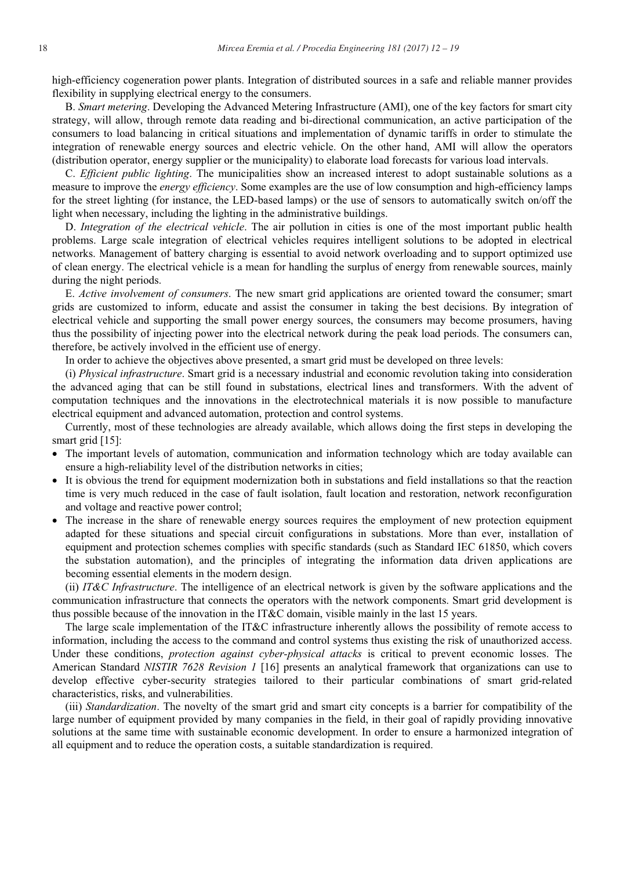high-efficiency cogeneration power plants. Integration of distributed sources in a safe and reliable manner provides flexibility in supplying electrical energy to the consumers.

B. Smart metering. Developing the Advanced Metering Infrastructure (AMI), one of the key factors for smart city strategy, will allow, through remote data reading and bi-directional communication, an active participation of the consumers to load balancing in critical situations and implementation of dynamic tariffs in order to stimulate the integration of renewable energy sources and electric vehicle. On the other hand, AMI will allow the operators (distribution operator, energy supplier or the municipality) to elaborate load forecasts for various load intervals.

C. *Efficient public lighting*. The municipalities show an increased interest to adopt sustainable solutions as a measure to improve the *energy efficiency*. Some examples are the use of low consumption and high-efficiency lamps for the street lighting (for instance, the LED-based lamps) or the use of sensors to automatically switch on/off the light when necessary, including the lighting in the administrative buildings.

*D. Integration of the electrical vehicle*. The air pollution in cities is one of the most important public health problems. Large scale integration of electrical vehicles requires intelligent solutions to be adopted in electrical networks. Management of battery charging is essential to avoid network overloading and to support optimized use of clean energy. The electrical vehicle is a mean for handling the surplus of energy from renewable sources, mainly during the night periods.

E. Active involvement of consumers. The new smart grid applications are oriented toward the consumer; smart grids are customized to inform, educate and assist the consumer in taking the best decisions. By integration of electrical vehicle and supporting the small power energy sources, the consumers may become prosumers, having thus the possibility of injecting power into the electrical network during the peak load periods. The consumers can, therefore, be actively involved in the efficient use of energy.

In order to achieve the objectives above presented, a smart grid must be developed on three levels:

(i) *Physical infrastructure*. Smart grid is a necessary industrial and economic revolution taking into consideration the advanced aging that can be still found in substations, electrical lines and transformers. With the advent of computation techniques and the innovations in the electrotechnical materials it is now possible to manufacture electrical equipment and advanced automation, protection and control systems.

Currently, most of these technologies are already available, which allows doing the first steps in developing the smart grid  $[15]$ :

- The important levels of automation, communication and information technology which are today available can ensure a high-reliability level of the distribution networks in cities;
- It is obvious the trend for equipment modernization both in substations and field installations so that the reaction time is very much reduced in the case of fault isolation, fault location and restoration, network reconfiguration and voltage and reactive power control;
- The increase in the share of renewable energy sources requires the employment of new protection equipment adapted for these situations and special circuit configurations in substations. More than ever, installation of equipment and protection schemes complies with specific standards (such as Standard IEC 61850, which covers the substation automation), and the principles of integrating the information data driven applications are becoming essential elements in the modern design.

(ii) IT&C Infrastructure. The intelligence of an electrical network is given by the software applications and the communication infrastructure that connects the operators with the network components. Smart grid development is thus possible because of the innovation in the IT&C domain, visible mainly in the last 15 years.

The large scale implementation of the IT&C infrastructure inherently allows the possibility of remote access to information, including the access to the command and control systems thus existing the risk of unauthorized access. Under these conditions, *protection against cyber-physical attacks* is critical to prevent economic losses. The American Standard *NISTIR 7628 Revision 1* [16] presents an analytical framework that organizations can use to develop effective cyber-security strategies tailored to their particular combinations of smart grid-related characteristics, risks, and vulnerabilities.

(iii) *Standardization*. The novelty of the smart grid and smart city concepts is a barrier for compatibility of the large number of equipment provided by many companies in the field, in their goal of rapidly providing innovative solutions at the same time with sustainable economic development. In order to ensure a harmonized integration of all equipment and to reduce the operation costs, a suitable standardization is required.